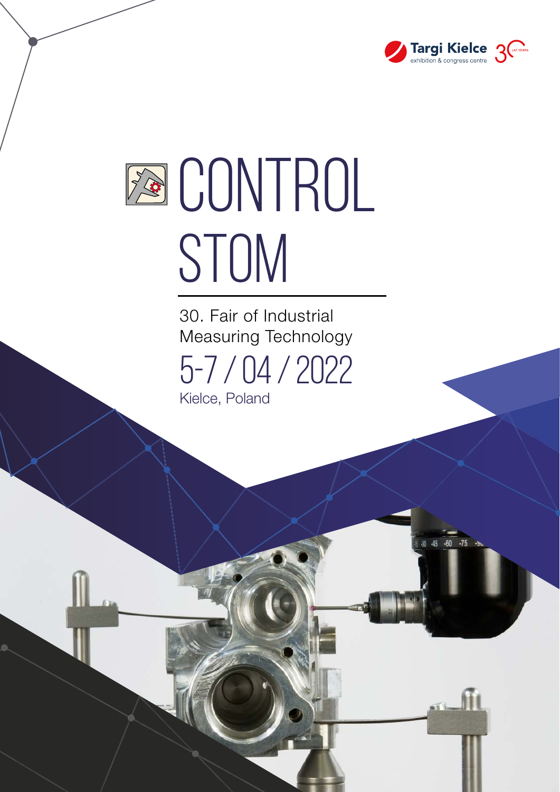

 $-75$ 

Æ

# **EQ CONTROL** STOM

5-7 / 04 / 2022 30. Fair of Industrial Measuring Technology Kielce, Poland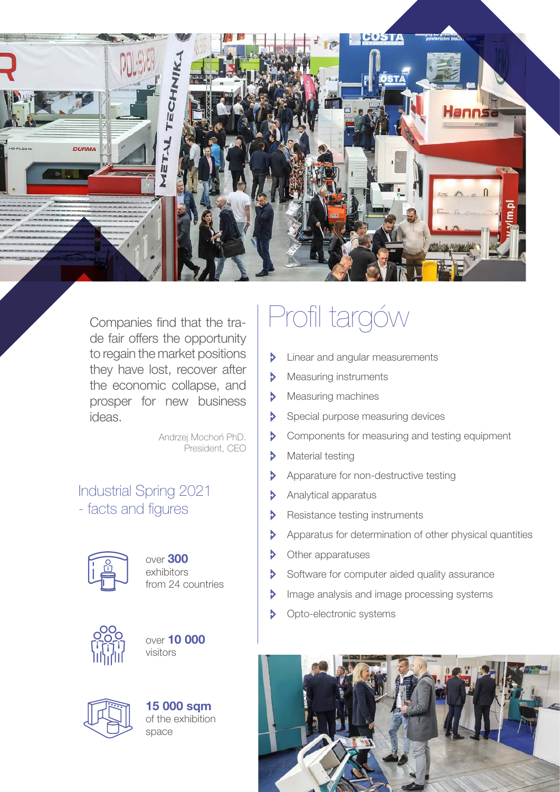

Companies find that the trade fair offers the opportunity to regain the market positions they have lost, recover after the economic collapse, and prosper for new business ideas.

> Andrzej Mochoń PhD. President, CEO

Industrial Spring 2021 - facts and figures



over 300 exhibitors from 24 countries







15 000 sqm of the exhibition space

## Profil targów

- Linear and angular measurements Ņ
- Measuring instruments  $\triangleright$
- $\triangleright$ Measuring machines
- $\triangleright$ Special purpose measuring devices
- $\triangleright$ Components for measuring and testing equipment
- D Material testing
- Apparature for non-destructive testing D
- $\overline{\triangleright}$ Analytical apparatus
- $\triangleright$ Resistance testing instruments
- b Apparatus for determination of other physical quantities
- Þ Other apparatuses
- $\triangleright$ Software for computer aided quality assurance
- Image analysis and image processing systems b
- $\overline{\mathbf{v}}$ Opto-electronic systems

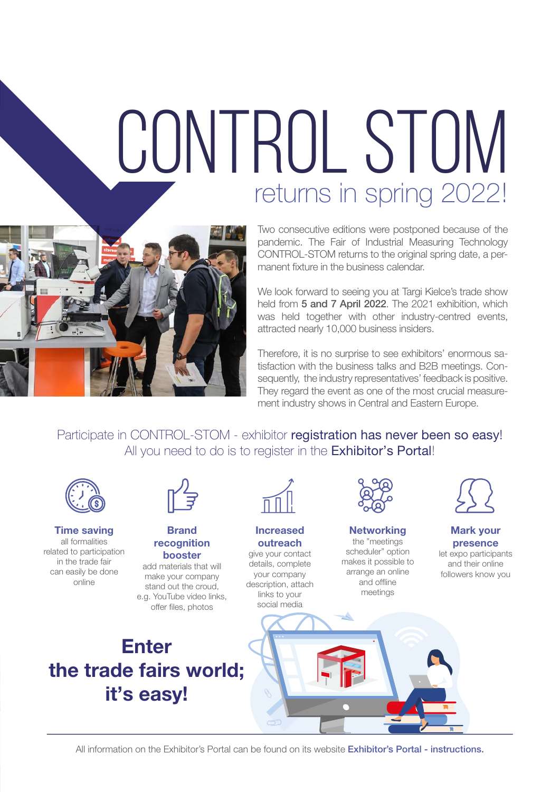## returns in spring 2022! CONTROL STOM



Two consecutive editions were postponed because of the pandemic. The Fair of Industrial Measuring Technology CONTROL-STOM returns to the original spring date, a permanent fixture in the business calendar.

We look forward to seeing you at Targi Kielce's trade show held from 5 and 7 April 2022. The 2021 exhibition, which was held together with other industry-centred events, attracted nearly 10,000 business insiders.

Therefore, it is no surprise to see exhibitors' enormous satisfaction with the business talks and B2B meetings. Consequently, the industry representatives' feedback is positive. They regard the event as one of the most crucial measurement industry shows in Central and Eastern Europe.

Participate in CONTROL-STOM - exhibitor registration has never been so easy! All you need to do is to register in the **Exhibitor's Portal!** 



All information on the Exhibitor's Portal can be found on its website **Exhibitor's Portal - instructions.**